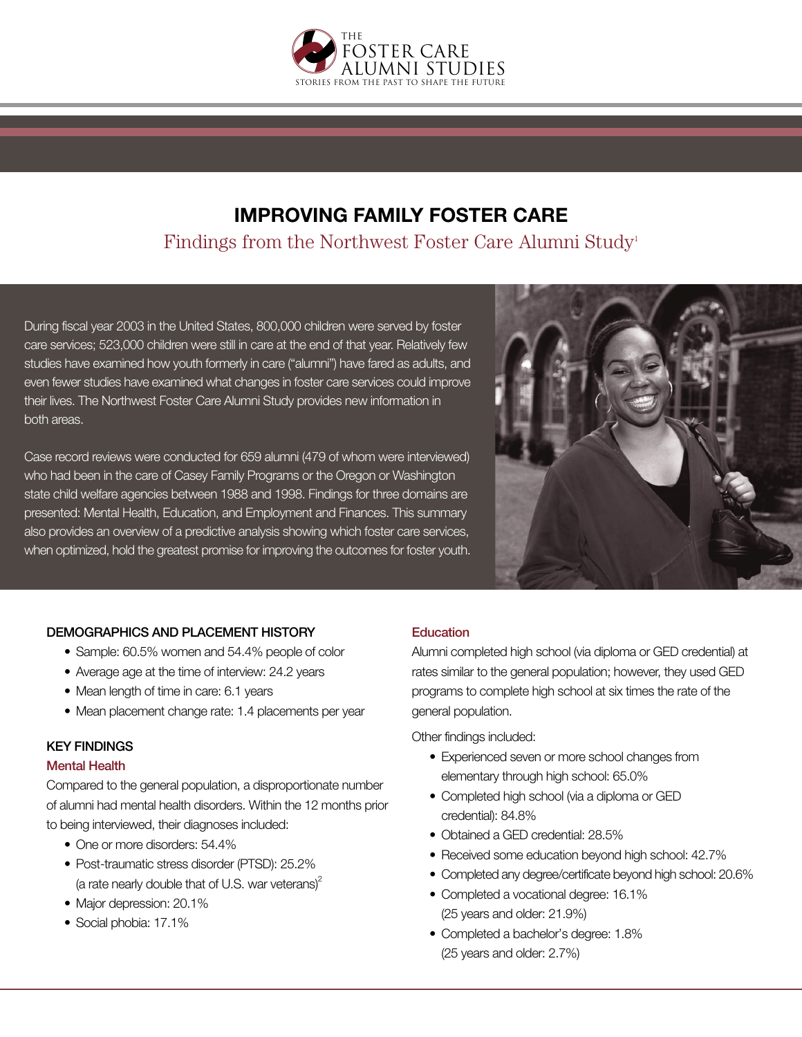

# **IMPROVING FAMILY FOSTER CARE** Findings from the Northwest Foster Care Alumni Study<sup>1</sup>

During fiscal year 2003 in the United States, 800,000 children were served by foster care services; 523,000 children were still in care at the end of that year. Relatively few studies have examined how youth formerly in care ("alumni") have fared as adults, and even fewer studies have examined what changes in foster care services could improve their lives. The Northwest Foster Care Alumni Study provides new information in both areas.

Case record reviews were conducted for 659 alumni (479 of whom were interviewed) who had been in the care of Casey Family Programs or the Oregon or Washington state child welfare agencies between 1988 and 1998. Findings for three domains are presented: Mental Health, Education, and Employment and Finances. This summary also provides an overview of a predictive analysis showing which foster care services, when optimized, hold the greatest promise for improving the outcomes for foster youth.



## DEMOGRAPHICS AND PLACEMENT HISTORY

- Sample: 60.5% women and 54.4% people of color
- Average age at the time of interview: 24.2 years
- Mean length of time in care: 6.1 years
- Mean placement change rate: 1.4 placements per year

## KEY FINDINGS

#### Mental Health

Compared to the general population, a disproportionate number of alumni had mental health disorders. Within the 12 months prior to being interviewed, their diagnoses included:

- One or more disorders: 54.4%
- Post-traumatic stress disorder (PTSD): 25.2% (a rate nearly double that of U.S. war veterans) $2^2$
- Major depression: 20.1%
- Social phobia: 17.1%

## **Education**

Alumni completed high school (via diploma or GED credential) at rates similar to the general population; however, they used GED programs to complete high school at six times the rate of the general population.

Other findings included:

- Experienced seven or more school changes from elementary through high school: 65.0%
- Completed high school (via a diploma or GED credential): 84.8%
- Obtained a GED credential: 28.5%
- Received some education beyond high school: 42.7%
- Completed any degree/certificate beyond high school: 20.6%
- Completed a vocational degree: 16.1% (25 years and older: 21.9%)
- Completed a bachelor's degree: 1.8% (25 years and older: 2.7%)